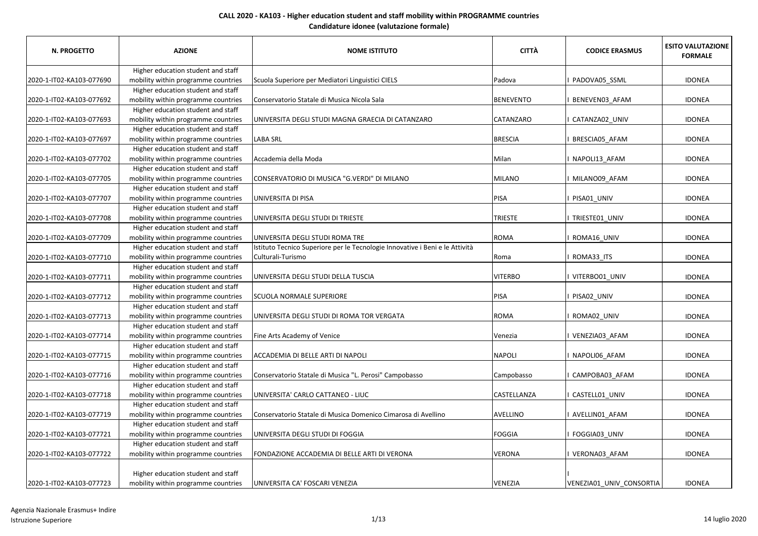| <b>N. PROGETTO</b>       | <b>AZIONE</b>                       | <b>NOME ISTITUTO</b>                                                         | <b>CITTÀ</b>     | <b>CODICE ERASMUS</b>    | <b>ESITO VALUTAZIONE</b><br><b>FORMALE</b> |
|--------------------------|-------------------------------------|------------------------------------------------------------------------------|------------------|--------------------------|--------------------------------------------|
|                          | Higher education student and staff  |                                                                              |                  |                          |                                            |
| 2020-1-IT02-KA103-077690 | mobility within programme countries | Scuola Superiore per Mediatori Linguistici CIELS                             | Padova           | PADOVA05_SSML            | <b>IDONEA</b>                              |
|                          | Higher education student and staff  |                                                                              |                  |                          |                                            |
| 2020-1-IT02-KA103-077692 | mobility within programme countries | Conservatorio Statale di Musica Nicola Sala                                  | <b>BENEVENTO</b> | BENEVEN03_AFAM           | <b>IDONEA</b>                              |
|                          | Higher education student and staff  |                                                                              |                  |                          |                                            |
| 2020-1-IT02-KA103-077693 | mobility within programme countries | UNIVERSITA DEGLI STUDI MAGNA GRAECIA DI CATANZARO                            | CATANZARO        | CATANZA02 UNIV           | <b>IDONEA</b>                              |
|                          | Higher education student and staff  |                                                                              |                  |                          |                                            |
| 2020-1-IT02-KA103-077697 | mobility within programme countries | <b>LABA SRL</b>                                                              | <b>BRESCIA</b>   | BRESCIA05_AFAM           | <b>IDONEA</b>                              |
|                          | Higher education student and staff  |                                                                              |                  |                          |                                            |
| 2020-1-IT02-KA103-077702 | mobility within programme countries | Accademia della Moda                                                         | Milan            | NAPOLI13 AFAM            | <b>IDONEA</b>                              |
|                          | Higher education student and staff  |                                                                              |                  |                          |                                            |
| 2020-1-IT02-KA103-077705 | mobility within programme countries | CONSERVATORIO DI MUSICA "G.VERDI" DI MILANO                                  | <b>MILANO</b>    | MILANO09 AFAM            | <b>IDONEA</b>                              |
|                          | Higher education student and staff  |                                                                              |                  |                          |                                            |
| 2020-1-IT02-KA103-077707 | mobility within programme countries | UNIVERSITA DI PISA                                                           | pisa             | PISA01 UNIV              | <b>IDONEA</b>                              |
|                          | Higher education student and staff  |                                                                              |                  |                          |                                            |
| 2020-1-IT02-KA103-077708 | mobility within programme countries | UNIVERSITA DEGLI STUDI DI TRIESTE                                            | <b>TRIESTE</b>   | I TRIESTE01_UNIV         | <b>IDONEA</b>                              |
|                          | Higher education student and staff  |                                                                              |                  |                          |                                            |
| 2020-1-IT02-KA103-077709 | mobility within programme countries | UNIVERSITA DEGLI STUDI ROMA TRE                                              | <b>ROMA</b>      | ROMA16_UNIV              | <b>IDONEA</b>                              |
|                          | Higher education student and staff  | Istituto Tecnico Superiore per le Tecnologie Innovative i Beni e le Attività |                  |                          |                                            |
| 2020-1-IT02-KA103-077710 | mobility within programme countries | Culturali-Turismo                                                            | Roma             | ROMA33 ITS               | <b>IDONEA</b>                              |
|                          | Higher education student and staff  |                                                                              |                  |                          |                                            |
| 2020-1-IT02-KA103-077711 | mobility within programme countries | UNIVERSITA DEGLI STUDI DELLA TUSCIA                                          | <b>VITERBO</b>   | VITERBO01_UNIV           | <b>IDONEA</b>                              |
|                          | Higher education student and staff  |                                                                              |                  |                          |                                            |
| 2020-1-IT02-KA103-077712 | mobility within programme countries | SCUOLA NORMALE SUPERIORE                                                     | PISA             | PISA02_UNIV              | <b>IDONEA</b>                              |
|                          | Higher education student and staff  |                                                                              |                  |                          |                                            |
| 2020-1-IT02-KA103-077713 | mobility within programme countries | UNIVERSITA DEGLI STUDI DI ROMA TOR VERGATA                                   | <b>ROMA</b>      | ROMA02_UNIV              | <b>IDONEA</b>                              |
|                          | Higher education student and staff  |                                                                              |                  |                          |                                            |
| 2020-1-IT02-KA103-077714 | mobility within programme countries | Fine Arts Academy of Venice                                                  | Venezia          | VENEZIA03 AFAM           | <b>IDONEA</b>                              |
|                          | Higher education student and staff  |                                                                              |                  |                          |                                            |
| 2020-1-IT02-KA103-077715 | mobility within programme countries | ACCADEMIA DI BELLE ARTI DI NAPOLI                                            | <b>NAPOLI</b>    | NAPOLI06 AFAM            | <b>IDONEA</b>                              |
|                          | Higher education student and staff  |                                                                              |                  |                          |                                            |
| 2020-1-IT02-KA103-077716 | mobility within programme countries | Conservatorio Statale di Musica "L. Perosi" Campobasso                       | Campobasso       | CAMPOBA03_AFAM           | <b>IDONEA</b>                              |
|                          | Higher education student and staff  |                                                                              |                  |                          |                                            |
| 2020-1-IT02-KA103-077718 | mobility within programme countries | UNIVERSITA' CARLO CATTANEO - LIUC                                            | CASTELLANZA      | CASTELL01_UNIV           | <b>IDONEA</b>                              |
|                          | Higher education student and staff  |                                                                              |                  |                          |                                            |
| 2020-1-IT02-KA103-077719 | mobility within programme countries | Conservatorio Statale di Musica Domenico Cimarosa di Avellino                | <b>AVELLINO</b>  | I AVELLIN01 AFAM         | <b>IDONEA</b>                              |
|                          | Higher education student and staff  |                                                                              |                  |                          |                                            |
| 2020-1-IT02-KA103-077721 | mobility within programme countries | UNIVERSITA DEGLI STUDI DI FOGGIA                                             | <b>FOGGIA</b>    | FOGGIA03_UNIV            | <b>IDONEA</b>                              |
|                          | Higher education student and staff  |                                                                              |                  |                          |                                            |
| 2020-1-IT02-KA103-077722 | mobility within programme countries | FONDAZIONE ACCADEMIA DI BELLE ARTI DI VERONA                                 | <b>VERONA</b>    | VERONA03 AFAM            | <b>IDONEA</b>                              |
|                          |                                     |                                                                              |                  |                          |                                            |
|                          | Higher education student and staff  |                                                                              |                  |                          |                                            |
| 2020-1-IT02-KA103-077723 | mobility within programme countries | UNIVERSITA CA' FOSCARI VENEZIA                                               | VENEZIA          | VENEZIA01_UNIV_CONSORTIA | <b>IDONEA</b>                              |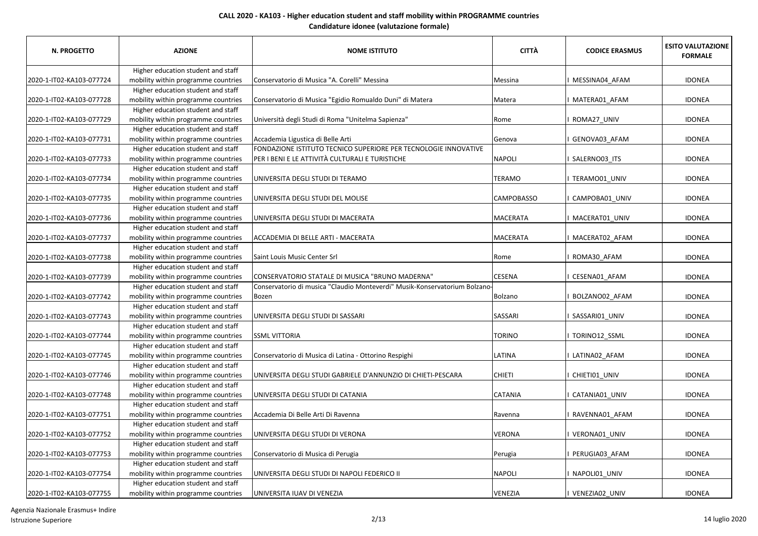| N. PROGETTO              | <b>AZIONE</b>                                                             | <b>NOME ISTITUTO</b>                                                      | <b>CITTÀ</b>    | <b>CODICE ERASMUS</b> | <b>ESITO VALUTAZIONE</b><br><b>FORMALE</b> |
|--------------------------|---------------------------------------------------------------------------|---------------------------------------------------------------------------|-----------------|-----------------------|--------------------------------------------|
|                          | Higher education student and staff                                        |                                                                           |                 |                       |                                            |
| 2020-1-IT02-KA103-077724 | mobility within programme countries                                       | Conservatorio di Musica "A. Corelli" Messina                              | Messina         | MESSINA04 AFAM        | <b>IDONEA</b>                              |
|                          | Higher education student and staff                                        |                                                                           |                 |                       |                                            |
| 2020-1-IT02-KA103-077728 | mobility within programme countries                                       | Conservatorio di Musica "Egidio Romualdo Duni" di Matera                  | Matera          | MATERA01_AFAM         | <b>IDONEA</b>                              |
|                          | Higher education student and staff                                        |                                                                           |                 |                       |                                            |
| 2020-1-IT02-KA103-077729 | mobility within programme countries                                       | Università degli Studi di Roma "Unitelma Sapienza"                        | Rome            | ROMA27_UNIV           | <b>IDONEA</b>                              |
|                          | Higher education student and staff                                        |                                                                           |                 |                       |                                            |
| 2020-1-IT02-KA103-077731 | mobility within programme countries                                       | Accademia Ligustica di Belle Arti                                         | Genova          | GENOVA03 AFAM         | <b>IDONEA</b>                              |
|                          | Higher education student and staff                                        | FONDAZIONE ISTITUTO TECNICO SUPERIORE PER TECNOLOGIE INNOVATIVE           |                 |                       |                                            |
| 2020-1-IT02-KA103-077733 | mobility within programme countries                                       | PER I BENI E LE ATTIVITÀ CULTURALI E TURISTICHE                           | <b>NAPOLI</b>   | SALERNO03_ITS         | <b>IDONEA</b>                              |
|                          | Higher education student and staff                                        |                                                                           |                 |                       |                                            |
| 2020-1-IT02-KA103-077734 | mobility within programme countries                                       | UNIVERSITA DEGLI STUDI DI TERAMO                                          | TERAMO          | TERAMO01_UNIV         | <b>IDONEA</b>                              |
|                          | Higher education student and staff                                        |                                                                           |                 |                       |                                            |
| 2020-1-IT02-KA103-077735 | mobility within programme countries                                       | UNIVERSITA DEGLI STUDI DEL MOLISE                                         | CAMPOBASSO      | CAMPOBA01_UNIV        | <b>IDONEA</b>                              |
|                          | Higher education student and staff                                        |                                                                           |                 |                       |                                            |
| 2020-1-IT02-KA103-077736 | mobility within programme countries                                       | UNIVERSITA DEGLI STUDI DI MACERATA                                        | MACERATA        | MACERAT01 UNIV        | <b>IDONEA</b>                              |
|                          | Higher education student and staff                                        | ACCADEMIA DI BELLE ARTI - MACERATA                                        | <b>MACERATA</b> |                       | <b>IDONEA</b>                              |
| 2020-1-IT02-KA103-077737 | mobility within programme countries<br>Higher education student and staff |                                                                           |                 | MACERAT02 AFAM        |                                            |
| 2020-1-IT02-KA103-077738 |                                                                           | Saint Louis Music Center Srl                                              | Rome            | ROMA30_AFAM           | <b>IDONEA</b>                              |
|                          | mobility within programme countries<br>Higher education student and staff |                                                                           |                 |                       |                                            |
| 2020-1-IT02-KA103-077739 | mobility within programme countries                                       | CONSERVATORIO STATALE DI MUSICA "BRUNO MADERNA"                           | <b>CESENA</b>   | CESENA01_AFAM         | <b>IDONEA</b>                              |
|                          | Higher education student and staff                                        | Conservatorio di musica "Claudio Monteverdi" Musik-Konservatorium Bolzano |                 |                       |                                            |
| 2020-1-IT02-KA103-077742 | mobility within programme countries                                       | Bozen                                                                     | <b>Bolzano</b>  | BOLZANO02_AFAM        | <b>IDONEA</b>                              |
|                          | Higher education student and staff                                        |                                                                           |                 |                       |                                            |
| 2020-1-IT02-KA103-077743 | mobility within programme countries                                       | UNIVERSITA DEGLI STUDI DI SASSARI                                         | SASSARI         | SASSARI01_UNIV        | <b>IDONEA</b>                              |
|                          | Higher education student and staff                                        |                                                                           |                 |                       |                                            |
| 2020-1-IT02-KA103-077744 | mobility within programme countries                                       | <b>SSML VITTORIA</b>                                                      | <b>TORINO</b>   | TORINO12_SSML         | <b>IDONEA</b>                              |
|                          | Higher education student and staff                                        |                                                                           |                 |                       |                                            |
| 2020-1-IT02-KA103-077745 | mobility within programme countries                                       | Conservatorio di Musica di Latina - Ottorino Respighi                     | LATINA          | LATINA02 AFAM         | <b>IDONEA</b>                              |
|                          | Higher education student and staff                                        |                                                                           |                 |                       |                                            |
| 2020-1-IT02-KA103-077746 | mobility within programme countries                                       | UNIVERSITA DEGLI STUDI GABRIELE D'ANNUNZIO DI CHIETI-PESCARA              | <b>CHIETI</b>   | CHIETI01_UNIV         | <b>IDONEA</b>                              |
|                          | Higher education student and staff                                        |                                                                           |                 |                       |                                            |
| 2020-1-IT02-KA103-077748 | mobility within programme countries                                       | UNIVERSITA DEGLI STUDI DI CATANIA                                         | CATANIA         | CATANIA01_UNIV        | <b>IDONEA</b>                              |
|                          | Higher education student and staff                                        |                                                                           |                 |                       |                                            |
| 2020-1-IT02-KA103-077751 | mobility within programme countries                                       | Accademia Di Belle Arti Di Ravenna                                        | Ravenna         | RAVENNA01_AFAM        | <b>IDONEA</b>                              |
|                          | Higher education student and staff                                        |                                                                           |                 |                       |                                            |
| 2020-1-IT02-KA103-077752 | mobility within programme countries                                       | UNIVERSITA DEGLI STUDI DI VERONA                                          | VERONA          | VERONA01_UNIV         | <b>IDONEA</b>                              |
|                          | Higher education student and staff                                        |                                                                           |                 |                       |                                            |
| 2020-1-IT02-KA103-077753 | mobility within programme countries                                       | Conservatorio di Musica di Perugia                                        | Perugia         | PERUGIA03 AFAM        | <b>IDONEA</b>                              |
|                          | Higher education student and staff                                        |                                                                           |                 |                       |                                            |
| 2020-1-IT02-KA103-077754 | mobility within programme countries                                       | UNIVERSITA DEGLI STUDI DI NAPOLI FEDERICO II                              | NAPOLI          | NAPOLI01_UNIV         | <b>IDONEA</b>                              |
|                          | Higher education student and staff                                        |                                                                           |                 |                       |                                            |
| 2020-1-IT02-KA103-077755 | mobility within programme countries                                       | UNIVERSITA IUAV DI VENEZIA                                                | VENEZIA         | VENEZIA02 UNIV        | <b>IDONEA</b>                              |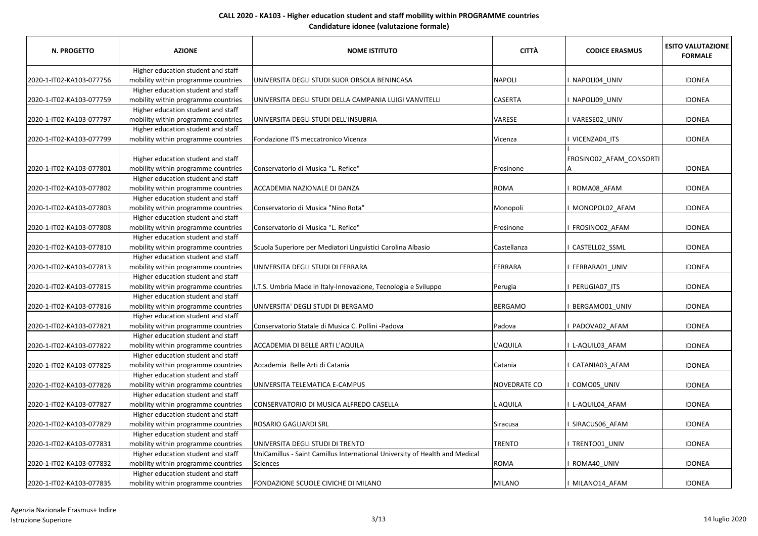| <b>N. PROGETTO</b>       | <b>AZIONE</b>                                                             | <b>NOME ISTITUTO</b>                                                        | <b>CITTÀ</b>        | <b>CODICE ERASMUS</b>   | <b>ESITO VALUTAZIONE</b><br><b>FORMALE</b> |
|--------------------------|---------------------------------------------------------------------------|-----------------------------------------------------------------------------|---------------------|-------------------------|--------------------------------------------|
|                          | Higher education student and staff                                        |                                                                             |                     |                         |                                            |
| 2020-1-IT02-KA103-077756 | mobility within programme countries                                       | UNIVERSITA DEGLI STUDI SUOR ORSOLA BENINCASA                                | <b>NAPOLI</b>       | NAPOLI04 UNIV           | <b>IDONEA</b>                              |
|                          | Higher education student and staff                                        |                                                                             |                     |                         |                                            |
| 2020-1-IT02-KA103-077759 | mobility within programme countries                                       | UNIVERSITA DEGLI STUDI DELLA CAMPANIA LUIGI VANVITELLI                      | <b>CASERTA</b>      | NAPOLI09_UNIV           | <b>IDONEA</b>                              |
|                          | Higher education student and staff                                        |                                                                             |                     |                         |                                            |
| 2020-1-IT02-KA103-077797 | mobility within programme countries                                       | UNIVERSITA DEGLI STUDI DELL'INSUBRIA                                        | VARESE              | VARESE02 UNIV           | <b>IDONEA</b>                              |
|                          | Higher education student and staff                                        |                                                                             |                     |                         |                                            |
| 2020-1-IT02-KA103-077799 | mobility within programme countries                                       | Fondazione ITS meccatronico Vicenza                                         | Vicenza             | VICENZA04_ITS           | <b>IDONEA</b>                              |
| 2020-1-IT02-KA103-077801 | Higher education student and staff<br>mobility within programme countries | Conservatorio di Musica "L. Refice"                                         | Frosinone           | FROSINO02 AFAM CONSORTI | <b>IDONEA</b>                              |
|                          | Higher education student and staff                                        |                                                                             |                     |                         |                                            |
| 2020-1-IT02-KA103-077802 | mobility within programme countries                                       | ACCADEMIA NAZIONALE DI DANZA                                                | <b>ROMA</b>         | ROMA08_AFAM             | <b>IDONEA</b>                              |
|                          | Higher education student and staff                                        |                                                                             |                     |                         |                                            |
| 2020-1-IT02-KA103-077803 | mobility within programme countries                                       | Conservatorio di Musica "Nino Rota"                                         | Monopoli            | MONOPOL02_AFAM          | <b>IDONEA</b>                              |
|                          | Higher education student and staff                                        |                                                                             |                     |                         |                                            |
| 2020-1-IT02-KA103-077808 | mobility within programme countries                                       | Conservatorio di Musica "L. Refice"                                         | Frosinone           | FROSINO02 AFAM          | <b>IDONEA</b>                              |
|                          | Higher education student and staff                                        |                                                                             |                     |                         |                                            |
| 2020-1-IT02-KA103-077810 | mobility within programme countries                                       | Scuola Superiore per Mediatori Linguistici Carolina Albasio                 | Castellanza         | CASTELL02_SSML          | <b>IDONEA</b>                              |
|                          | Higher education student and staff                                        |                                                                             |                     |                         |                                            |
| 2020-1-IT02-KA103-077813 | mobility within programme countries                                       | UNIVERSITA DEGLI STUDI DI FERRARA                                           | FERRARA             | FERRARA01_UNIV          | <b>IDONEA</b>                              |
|                          | Higher education student and staff                                        |                                                                             |                     |                         |                                            |
| 2020-1-IT02-KA103-077815 | mobility within programme countries                                       | I.T.S. Umbria Made in Italy-Innovazione, Tecnologia e Sviluppo              | Perugia             | PERUGIA07_ITS           | <b>IDONEA</b>                              |
|                          | Higher education student and staff                                        |                                                                             |                     |                         |                                            |
| 2020-1-IT02-KA103-077816 | mobility within programme countries                                       | UNIVERSITA' DEGLI STUDI DI BERGAMO                                          | <b>BERGAMO</b>      | BERGAMO01 UNIV          | <b>IDONEA</b>                              |
|                          | Higher education student and staff                                        |                                                                             |                     |                         |                                            |
| 2020-1-IT02-KA103-077821 | mobility within programme countries                                       | Conservatorio Statale di Musica C. Pollini -Padova                          | Padova              | PADOVA02_AFAM           | <b>IDONEA</b>                              |
|                          | Higher education student and staff                                        |                                                                             |                     |                         |                                            |
| 2020-1-IT02-KA103-077822 | mobility within programme countries                                       | ACCADEMIA DI BELLE ARTI L'AQUILA                                            | L'AQUILA            | I L-AQUIL03_AFAM        | <b>IDONEA</b>                              |
|                          | Higher education student and staff                                        |                                                                             |                     |                         |                                            |
| 2020-1-IT02-KA103-077825 | mobility within programme countries                                       | Accademia Belle Arti di Catania                                             | Catania             | CATANIA03 AFAM          | <b>IDONEA</b>                              |
|                          | Higher education student and staff                                        |                                                                             |                     |                         |                                            |
| 2020-1-IT02-KA103-077826 | mobility within programme countries                                       | UNIVERSITA TELEMATICA E-CAMPUS                                              | <b>NOVEDRATE CO</b> | COMO05 UNIV             | <b>IDONEA</b>                              |
|                          | Higher education student and staff                                        |                                                                             |                     |                         |                                            |
| 2020-1-IT02-KA103-077827 | mobility within programme countries                                       | CONSERVATORIO DI MUSICA ALFREDO CASELLA                                     | L AQUILA            | L-AQUIL04_AFAM          | <b>IDONEA</b>                              |
|                          | Higher education student and staff                                        |                                                                             |                     |                         |                                            |
| 2020-1-IT02-KA103-077829 | mobility within programme countries                                       | ROSARIO GAGLIARDI SRL                                                       | Siracusa            | SIRACUS06_AFAM          | <b>IDONEA</b>                              |
|                          | Higher education student and staff                                        |                                                                             |                     |                         |                                            |
| 2020-1-IT02-KA103-077831 | mobility within programme countries                                       | UNIVERSITA DEGLI STUDI DI TRENTO                                            | <b>TRENTO</b>       | TRENTO01_UNIV           | <b>IDONEA</b>                              |
|                          | Higher education student and staff                                        | UniCamillus - Saint Camillus International University of Health and Medical |                     |                         |                                            |
| 2020-1-IT02-KA103-077832 | mobility within programme countries                                       | Sciences                                                                    | <b>ROMA</b>         | ROMA40 UNIV             | <b>IDONEA</b>                              |
|                          | Higher education student and staff                                        |                                                                             |                     |                         |                                            |
| 2020-1-IT02-KA103-077835 | mobility within programme countries                                       | FONDAZIONE SCUOLE CIVICHE DI MILANO                                         | <b>MILANO</b>       | I MILANO14 AFAM         | <b>IDONEA</b>                              |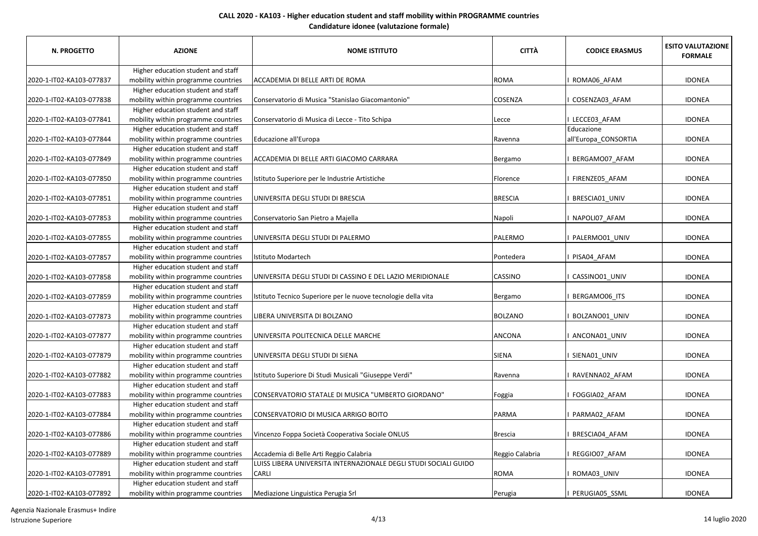| <b>N. PROGETTO</b>       | <b>AZIONE</b>                                                             | <b>NOME ISTITUTO</b>                                             | <b>CITTÀ</b>    | <b>CODICE ERASMUS</b> | <b>ESITO VALUTAZIONE</b><br><b>FORMALE</b> |
|--------------------------|---------------------------------------------------------------------------|------------------------------------------------------------------|-----------------|-----------------------|--------------------------------------------|
|                          | Higher education student and staff                                        |                                                                  |                 |                       |                                            |
| 2020-1-IT02-KA103-077837 | mobility within programme countries                                       | ACCADEMIA DI BELLE ARTI DE ROMA                                  | ROMA            | ROMA06 AFAM           | <b>IDONEA</b>                              |
|                          | Higher education student and staff                                        |                                                                  |                 |                       |                                            |
| 2020-1-IT02-KA103-077838 | mobility within programme countries                                       | Conservatorio di Musica "Stanislao Giacomantonio"                | COSENZA         | COSENZA03_AFAM        | <b>IDONEA</b>                              |
|                          | Higher education student and staff                                        |                                                                  |                 |                       |                                            |
| 2020-1-IT02-KA103-077841 | mobility within programme countries                                       | Conservatorio di Musica di Lecce - Tito Schipa                   | Lecce           | LECCE03 AFAM          | <b>IDONEA</b>                              |
|                          | Higher education student and staff                                        |                                                                  |                 | Educazione            |                                            |
| 2020-1-IT02-KA103-077844 | mobility within programme countries                                       | Educazione all'Europa                                            | Ravenna         | all'Europa_CONSORTIA  | <b>IDONEA</b>                              |
|                          | Higher education student and staff                                        |                                                                  |                 |                       |                                            |
| 2020-1-IT02-KA103-077849 | mobility within programme countries                                       | ACCADEMIA DI BELLE ARTI GIACOMO CARRARA                          | Bergamo         | BERGAMO07_AFAM        | <b>IDONEA</b>                              |
|                          | Higher education student and staff                                        |                                                                  |                 |                       |                                            |
| 2020-1-IT02-KA103-077850 | mobility within programme countries                                       | Istituto Superiore per le Industrie Artistiche                   | Florence        | FIRENZE05_AFAM        | <b>IDONEA</b>                              |
|                          | Higher education student and staff                                        |                                                                  |                 |                       |                                            |
| 2020-1-IT02-KA103-077851 | mobility within programme countries                                       | UNIVERSITA DEGLI STUDI DI BRESCIA                                | <b>BRESCIA</b>  | BRESCIA01 UNIV        | <b>IDONEA</b>                              |
|                          | Higher education student and staff                                        |                                                                  |                 |                       |                                            |
| 2020-1-IT02-KA103-077853 | mobility within programme countries<br>Higher education student and staff | Conservatorio San Pietro a Majella                               | Napoli          | NAPOLI07_AFAM         | <b>IDONEA</b>                              |
| 2020-1-IT02-KA103-077855 | mobility within programme countries                                       | UNIVERSITA DEGLI STUDI DI PALERMO                                | PALERMO         | PALERMO01_UNIV        | <b>IDONEA</b>                              |
|                          | Higher education student and staff                                        |                                                                  |                 |                       |                                            |
| 2020-1-IT02-KA103-077857 | mobility within programme countries                                       | Istituto Modartech                                               | Pontedera       | PISA04_AFAM           | <b>IDONEA</b>                              |
|                          | Higher education student and staff                                        |                                                                  |                 |                       |                                            |
| 2020-1-IT02-KA103-077858 | mobility within programme countries                                       | UNIVERSITA DEGLI STUDI DI CASSINO E DEL LAZIO MERIDIONALE        | CASSINO         | CASSINO01_UNIV        | <b>IDONEA</b>                              |
|                          | Higher education student and staff                                        |                                                                  |                 |                       |                                            |
| 2020-1-IT02-KA103-077859 | mobility within programme countries                                       | Istituto Tecnico Superiore per le nuove tecnologie della vita    | Bergamo         | BERGAMO06_ITS         | <b>IDONEA</b>                              |
|                          | Higher education student and staff                                        |                                                                  |                 |                       |                                            |
| 2020-1-IT02-KA103-077873 | mobility within programme countries                                       | LIBERA UNIVERSITA DI BOLZANO                                     | <b>BOLZANO</b>  | BOLZANO01_UNIV        | <b>IDONEA</b>                              |
|                          | Higher education student and staff                                        |                                                                  |                 |                       |                                            |
| 2020-1-IT02-KA103-077877 | mobility within programme countries                                       | UNIVERSITA POLITECNICA DELLE MARCHE                              | ANCONA          | ANCONA01_UNIV         | <b>IDONEA</b>                              |
|                          | Higher education student and staff                                        |                                                                  |                 |                       |                                            |
| 2020-1-IT02-KA103-077879 | mobility within programme countries                                       | UNIVERSITA DEGLI STUDI DI SIENA                                  | <b>SIENA</b>    | SIENA01_UNIV          | <b>IDONEA</b>                              |
|                          | Higher education student and staff                                        |                                                                  |                 |                       |                                            |
| 2020-1-IT02-KA103-077882 | mobility within programme countries                                       | Istituto Superiore Di Studi Musicali "Giuseppe Verdi"            | Ravenna         | RAVENNA02 AFAM        | <b>IDONEA</b>                              |
|                          | Higher education student and staff                                        |                                                                  |                 |                       |                                            |
| 2020-1-IT02-KA103-077883 | mobility within programme countries                                       | CONSERVATORIO STATALE DI MUSICA "UMBERTO GIORDANO"               | Foggia          | FOGGIA02_AFAM         | <b>IDONEA</b>                              |
|                          | Higher education student and staff                                        |                                                                  |                 |                       |                                            |
| 2020-1-IT02-KA103-077884 | mobility within programme countries                                       | CONSERVATORIO DI MUSICA ARRIGO BOITO                             | PARMA           | PARMA02_AFAM          | <b>IDONEA</b>                              |
|                          | Higher education student and staff                                        |                                                                  |                 |                       |                                            |
| 2020-1-IT02-KA103-077886 | mobility within programme countries                                       | Vincenzo Foppa Società Cooperativa Sociale ONLUS                 | <b>Brescia</b>  | BRESCIA04 AFAM        | <b>IDONEA</b>                              |
|                          | Higher education student and staff                                        |                                                                  |                 |                       |                                            |
| 2020-1-IT02-KA103-077889 | mobility within programme countries                                       | Accademia di Belle Arti Reggio Calabria                          | Reggio Calabria | REGGIO07_AFAM         | <b>IDONEA</b>                              |
|                          | Higher education student and staff                                        | LUISS LIBERA UNIVERSITA INTERNAZIONALE DEGLI STUDI SOCIALI GUIDO |                 |                       |                                            |
| 2020-1-IT02-KA103-077891 | mobility within programme countries                                       | CARLI                                                            | <b>ROMA</b>     | ROMA03 UNIV           | <b>IDONEA</b>                              |
|                          | Higher education student and staff                                        |                                                                  |                 |                       |                                            |
| 2020-1-IT02-KA103-077892 | mobility within programme countries                                       | Mediazione Linguistica Perugia Srl                               | Perugia         | PERUGIA05 SSML        | <b>IDONEA</b>                              |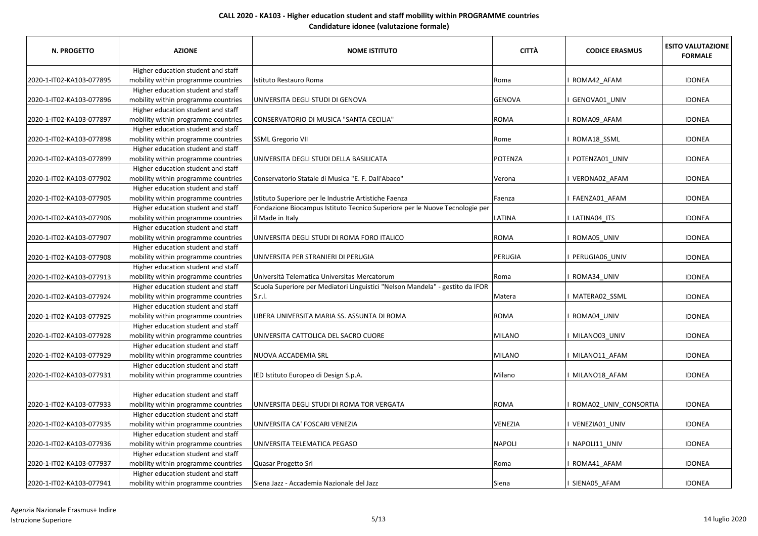| <b>N. PROGETTO</b>       | <b>AZIONE</b>                                                             | <b>NOME ISTITUTO</b>                                                          | <b>CITTÀ</b>   | <b>CODICE ERASMUS</b> | <b>ESITO VALUTAZIONE</b><br><b>FORMALE</b> |
|--------------------------|---------------------------------------------------------------------------|-------------------------------------------------------------------------------|----------------|-----------------------|--------------------------------------------|
|                          | Higher education student and staff                                        |                                                                               |                |                       |                                            |
| 2020-1-IT02-KA103-077895 | mobility within programme countries                                       | Istituto Restauro Roma                                                        | Roma           | ROMA42_AFAM           | <b>IDONEA</b>                              |
|                          | Higher education student and staff                                        |                                                                               |                |                       |                                            |
| 2020-1-IT02-KA103-077896 | mobility within programme countries                                       | UNIVERSITA DEGLI STUDI DI GENOVA                                              | <b>GENOVA</b>  | GENOVA01_UNIV         | <b>IDONEA</b>                              |
|                          | Higher education student and staff                                        |                                                                               |                |                       |                                            |
| 2020-1-IT02-KA103-077897 | mobility within programme countries                                       | CONSERVATORIO DI MUSICA "SANTA CECILIA"                                       | <b>ROMA</b>    | ROMA09 AFAM           | <b>IDONEA</b>                              |
|                          | Higher education student and staff                                        |                                                                               |                |                       |                                            |
| 2020-1-IT02-KA103-077898 | mobility within programme countries                                       | <b>SSML Gregorio VII</b>                                                      | Rome           | ROMA18_SSML           | <b>IDONEA</b>                              |
|                          | Higher education student and staff                                        |                                                                               |                |                       |                                            |
| 2020-1-IT02-KA103-077899 | mobility within programme countries                                       | UNIVERSITA DEGLI STUDI DELLA BASILICATA                                       | <b>POTENZA</b> | POTENZA01 UNIV        | <b>IDONEA</b>                              |
|                          | Higher education student and staff                                        |                                                                               |                |                       |                                            |
| 2020-1-IT02-KA103-077902 | mobility within programme countries                                       | Conservatorio Statale di Musica "E. F. Dall'Abaco"                            | Verona         | VERONA02 AFAM         | <b>IDONEA</b>                              |
|                          | Higher education student and staff                                        |                                                                               |                |                       |                                            |
| 2020-1-IT02-KA103-077905 | mobility within programme countries                                       | Istituto Superiore per le Industrie Artistiche Faenza                         | Faenza         | FAENZA01 AFAM         | <b>IDONEA</b>                              |
|                          | Higher education student and staff                                        | Fondazione Biocampus Istituto Tecnico Superiore per le Nuove Tecnologie per   |                |                       |                                            |
| 2020-1-IT02-KA103-077906 | mobility within programme countries                                       | il Made in Italy                                                              | LATINA         | LATINA04_ITS          | <b>IDONEA</b>                              |
|                          | Higher education student and staff                                        |                                                                               | <b>ROMA</b>    |                       |                                            |
| 2020-1-IT02-KA103-077907 | mobility within programme countries                                       | UNIVERSITA DEGLI STUDI DI ROMA FORO ITALICO                                   |                | ROMA05_UNIV           | <b>IDONEA</b>                              |
|                          | Higher education student and staff<br>mobility within programme countries | UNIVERSITA PER STRANIERI DI PERUGIA                                           | PERUGIA        | PERUGIA06 UNIV        | <b>IDONEA</b>                              |
| 2020-1-IT02-KA103-077908 |                                                                           |                                                                               |                |                       |                                            |
| 2020-1-IT02-KA103-077913 | Higher education student and staff                                        | Università Telematica Universitas Mercatorum                                  |                |                       | <b>IDONEA</b>                              |
|                          | mobility within programme countries<br>Higher education student and staff | Scuola Superiore per Mediatori Linguistici "Nelson Mandela" - gestito da IFOR | Roma           | ROMA34_UNIV           |                                            |
| 2020-1-IT02-KA103-077924 | mobility within programme countries                                       | S.r.l.                                                                        | Matera         | MATERA02_SSML         | <b>IDONEA</b>                              |
|                          | Higher education student and staff                                        |                                                                               |                |                       |                                            |
| 2020-1-IT02-KA103-077925 | mobility within programme countries                                       | LIBERA UNIVERSITA MARIA SS. ASSUNTA DI ROMA                                   | <b>ROMA</b>    | ROMA04_UNIV           | <b>IDONEA</b>                              |
|                          | Higher education student and staff                                        |                                                                               |                |                       |                                            |
| 2020-1-IT02-KA103-077928 | mobility within programme countries                                       | UNIVERSITA CATTOLICA DEL SACRO CUORE                                          | <b>MILANO</b>  | MILANO03 UNIV         | <b>IDONEA</b>                              |
|                          | Higher education student and staff                                        |                                                                               |                |                       |                                            |
| 2020-1-IT02-KA103-077929 | mobility within programme countries                                       | NUOVA ACCADEMIA SRL                                                           | <b>MILANO</b>  | MILANO11 AFAM         | <b>IDONEA</b>                              |
|                          | Higher education student and staff                                        |                                                                               |                |                       |                                            |
| 2020-1-IT02-KA103-077931 | mobility within programme countries                                       | IED Istituto Europeo di Design S.p.A.                                         | Milano         | MILANO18_AFAM         | <b>IDONEA</b>                              |
|                          | Higher education student and staff                                        |                                                                               |                |                       |                                            |
| 2020-1-IT02-KA103-077933 | mobility within programme countries                                       | UNIVERSITA DEGLI STUDI DI ROMA TOR VERGATA                                    | <b>ROMA</b>    | ROMA02_UNIV_CONSORTIA | <b>IDONEA</b>                              |
|                          | Higher education student and staff                                        |                                                                               |                |                       |                                            |
| 2020-1-IT02-KA103-077935 | mobility within programme countries                                       | UNIVERSITA CA' FOSCARI VENEZIA                                                | VENEZIA        | VENEZIA01 UNIV        | <b>IDONEA</b>                              |
|                          | Higher education student and staff                                        |                                                                               |                |                       |                                            |
| 2020-1-IT02-KA103-077936 | mobility within programme countries                                       | UNIVERSITA TELEMATICA PEGASO                                                  | <b>NAPOLI</b>  | NAPOLI11 UNIV         | <b>IDONEA</b>                              |
|                          | Higher education student and staff                                        |                                                                               |                |                       |                                            |
| 2020-1-IT02-KA103-077937 | mobility within programme countries                                       | Quasar Progetto Srl                                                           | Roma           | ROMA41 AFAM           | <b>IDONEA</b>                              |
|                          | Higher education student and staff                                        |                                                                               |                |                       |                                            |
| 2020-1-IT02-KA103-077941 | mobility within programme countries                                       | Siena Jazz - Accademia Nazionale del Jazz                                     | Siena          | I SIENA05_AFAM        | <b>IDONEA</b>                              |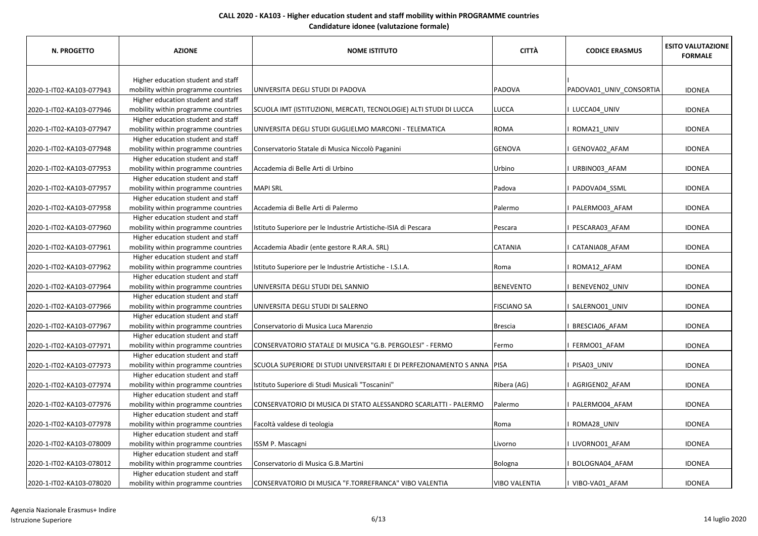| <b>N. PROGETTO</b>       | <b>AZIONE</b>                       | <b>NOME ISTITUTO</b>                                                    | <b>CITTÀ</b>         | <b>CODICE ERASMUS</b>   | <b>ESITO VALUTAZIONE</b><br><b>FORMALE</b> |
|--------------------------|-------------------------------------|-------------------------------------------------------------------------|----------------------|-------------------------|--------------------------------------------|
|                          | Higher education student and staff  |                                                                         |                      |                         |                                            |
| 2020-1-IT02-KA103-077943 | mobility within programme countries | UNIVERSITA DEGLI STUDI DI PADOVA                                        | PADOVA               | PADOVA01_UNIV_CONSORTIA | <b>IDONEA</b>                              |
|                          | Higher education student and staff  |                                                                         |                      |                         |                                            |
| 2020-1-IT02-KA103-077946 | mobility within programme countries | SCUOLA IMT (ISTITUZIONI, MERCATI, TECNOLOGIE) ALTI STUDI DI LUCCA       | LUCCA                | I LUCCA04_UNIV          | <b>IDONEA</b>                              |
|                          | Higher education student and staff  |                                                                         |                      |                         |                                            |
| 2020-1-IT02-KA103-077947 | mobility within programme countries | UNIVERSITA DEGLI STUDI GUGLIELMO MARCONI - TELEMATICA                   | <b>ROMA</b>          | ROMA21_UNIV             | <b>IDONEA</b>                              |
|                          | Higher education student and staff  |                                                                         |                      |                         |                                            |
| 2020-1-IT02-KA103-077948 | mobility within programme countries | Conservatorio Statale di Musica Niccolò Paganini                        | <b>GENOVA</b>        | GENOVA02 AFAM           | <b>IDONEA</b>                              |
|                          | Higher education student and staff  |                                                                         |                      |                         |                                            |
| 2020-1-IT02-KA103-077953 | mobility within programme countries | Accademia di Belle Arti di Urbino                                       | Urbino               | I URBINO03 AFAM         | <b>IDONEA</b>                              |
|                          | Higher education student and staff  |                                                                         |                      |                         |                                            |
| 2020-1-IT02-KA103-077957 | mobility within programme countries | <b>MAPI SRL</b>                                                         | Padova               | PADOVA04_SSML           | <b>IDONEA</b>                              |
|                          | Higher education student and staff  |                                                                         |                      |                         |                                            |
| 2020-1-IT02-KA103-077958 | mobility within programme countries | Accademia di Belle Arti di Palermo                                      | Palermo              | PALERMO03_AFAM          | <b>IDONEA</b>                              |
|                          | Higher education student and staff  |                                                                         |                      |                         |                                            |
| 2020-1-IT02-KA103-077960 | mobility within programme countries | Istituto Superiore per le Industrie Artistiche-ISIA di Pescara          | Pescara              | PESCARA03 AFAM          | <b>IDONEA</b>                              |
|                          | Higher education student and staff  |                                                                         |                      |                         |                                            |
| 2020-1-IT02-KA103-077961 | mobility within programme countries | Accademia Abadir (ente gestore R.AR.A. SRL)                             | CATANIA              | CATANIA08 AFAM          | <b>IDONEA</b>                              |
|                          | Higher education student and staff  |                                                                         |                      |                         |                                            |
| 2020-1-IT02-KA103-077962 | mobility within programme countries | Istituto Superiore per le Industrie Artistiche - I.S.I.A.               | Roma                 | ROMA12_AFAM             | <b>IDONEA</b>                              |
|                          | Higher education student and staff  |                                                                         |                      |                         |                                            |
| 2020-1-IT02-KA103-077964 | mobility within programme countries | UNIVERSITA DEGLI STUDI DEL SANNIO                                       | <b>BENEVENTO</b>     | BENEVEN02_UNIV          | <b>IDONEA</b>                              |
|                          | Higher education student and staff  |                                                                         |                      |                         |                                            |
| 2020-1-IT02-KA103-077966 | mobility within programme countries | UNIVERSITA DEGLI STUDI DI SALERNO                                       | <b>FISCIANO SA</b>   | SALERNO01 UNIV          | <b>IDONEA</b>                              |
|                          | Higher education student and staff  |                                                                         |                      |                         |                                            |
| 2020-1-IT02-KA103-077967 | mobility within programme countries | Conservatorio di Musica Luca Marenzio                                   | <b>Brescia</b>       | BRESCIA06_AFAM          | <b>IDONEA</b>                              |
|                          | Higher education student and staff  |                                                                         |                      |                         |                                            |
| 2020-1-IT02-KA103-077971 | mobility within programme countries | CONSERVATORIO STATALE DI MUSICA "G.B. PERGOLESI" - FERMO                | Fermo                | FERMO01_AFAM            | <b>IDONEA</b>                              |
|                          | Higher education student and staff  |                                                                         |                      |                         |                                            |
| 2020-1-IT02-KA103-077973 | mobility within programme countries | SCUOLA SUPERIORE DI STUDI UNIVERSITARI E DI PERFEZIONAMENTO S ANNA PISA |                      | PISA03 UNIV             | <b>IDONEA</b>                              |
|                          | Higher education student and staff  |                                                                         |                      |                         |                                            |
| 2020-1-IT02-KA103-077974 | mobility within programme countries | Istituto Superiore di Studi Musicali "Toscanini"                        | Ribera (AG)          | I AGRIGEN02_AFAM        | <b>IDONEA</b>                              |
|                          | Higher education student and staff  |                                                                         |                      |                         |                                            |
| 2020-1-IT02-KA103-077976 | mobility within programme countries | CONSERVATORIO DI MUSICA DI STATO ALESSANDRO SCARLATTI - PALERMO         | Palermo              | PALERMO04_AFAM          | <b>IDONEA</b>                              |
|                          | Higher education student and staff  |                                                                         |                      |                         |                                            |
| 2020-1-IT02-KA103-077978 | mobility within programme countries | Facoltà valdese di teologia                                             | Roma                 | ROMA28_UNIV             | <b>IDONEA</b>                              |
|                          | Higher education student and staff  |                                                                         |                      |                         |                                            |
| 2020-1-IT02-KA103-078009 | mobility within programme countries | ISSM P. Mascagni                                                        | Livorno              | LIVORNO01_AFAM          | <b>IDONEA</b>                              |
|                          | Higher education student and staff  |                                                                         |                      |                         |                                            |
| 2020-1-IT02-KA103-078012 | mobility within programme countries | Conservatorio di Musica G.B.Martini                                     | Bologna              | BOLOGNA04_AFAM          | <b>IDONEA</b>                              |
|                          | Higher education student and staff  |                                                                         |                      |                         |                                            |
| 2020-1-IT02-KA103-078020 | mobility within programme countries | CONSERVATORIO DI MUSICA "F.TORREFRANCA" VIBO VALENTIA                   | <b>VIBO VALENTIA</b> | I VIBO-VA01 AFAM        | <b>IDONEA</b>                              |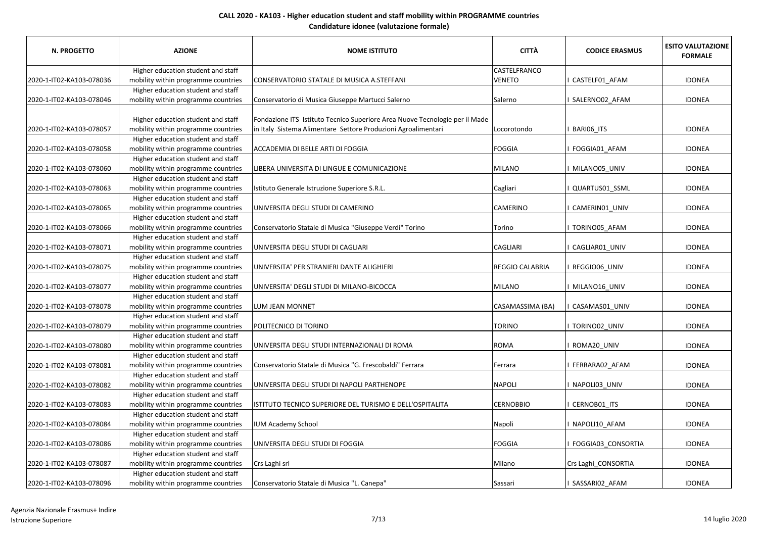| <b>N. PROGETTO</b>       | <b>AZIONE</b>                                                                                                   | <b>NOME ISTITUTO</b>                                                                                                                         | <b>CITTÀ</b>     | <b>CODICE ERASMUS</b> | <b>ESITO VALUTAZIONE</b><br><b>FORMALE</b> |
|--------------------------|-----------------------------------------------------------------------------------------------------------------|----------------------------------------------------------------------------------------------------------------------------------------------|------------------|-----------------------|--------------------------------------------|
|                          | Higher education student and staff                                                                              |                                                                                                                                              | CASTELFRANCO     |                       |                                            |
| 2020-1-IT02-KA103-078036 | mobility within programme countries                                                                             | CONSERVATORIO STATALE DI MUSICA A.STEFFANI                                                                                                   | VENETO           | CASTELF01 AFAM        | <b>IDONEA</b>                              |
|                          | Higher education student and staff                                                                              |                                                                                                                                              |                  |                       |                                            |
| 2020-1-IT02-KA103-078046 | mobility within programme countries                                                                             | Conservatorio di Musica Giuseppe Martucci Salerno                                                                                            | Salerno          | SALERNO02_AFAM        | <b>IDONEA</b>                              |
| 2020-1-IT02-KA103-078057 | Higher education student and staff<br>mobility within programme countries                                       | Fondazione ITS Istituto Tecnico Superiore Area Nuove Tecnologie per il Made<br>in Italy Sistema Alimentare Settore Produzioni Agroalimentari | Locorotondo      | BARIO6_ITS            | <b>IDONEA</b>                              |
| 2020-1-IT02-KA103-078058 | Higher education student and staff<br>mobility within programme countries                                       | ACCADEMIA DI BELLE ARTI DI FOGGIA                                                                                                            | <b>FOGGIA</b>    | FOGGIA01 AFAM         | <b>IDONEA</b>                              |
| 2020-1-IT02-KA103-078060 | Higher education student and staff<br>mobility within programme countries                                       | LIBERA UNIVERSITA DI LINGUE E COMUNICAZIONE                                                                                                  | MILANO           | MILANO05_UNIV         | <b>IDONEA</b>                              |
| 2020-1-IT02-KA103-078063 | Higher education student and staff<br>mobility within programme countries<br>Higher education student and staff | Istituto Generale Istruzione Superiore S.R.L.                                                                                                | Cagliari         | QUARTUS01_SSML        | <b>IDONEA</b>                              |
| 2020-1-IT02-KA103-078065 | mobility within programme countries<br>Higher education student and staff                                       | UNIVERSITA DEGLI STUDI DI CAMERINO                                                                                                           | CAMERINO         | CAMERIN01_UNIV        | <b>IDONEA</b>                              |
| 2020-1-IT02-KA103-078066 | mobility within programme countries                                                                             | Conservatorio Statale di Musica "Giuseppe Verdi" Torino                                                                                      | Torino           | TORINO05 AFAM         | <b>IDONEA</b>                              |
| 2020-1-IT02-KA103-078071 | Higher education student and staff<br>mobility within programme countries                                       | UNIVERSITA DEGLI STUDI DI CAGLIARI                                                                                                           | CAGLIARI         | CAGLIAR01 UNIV        | <b>IDONEA</b>                              |
| 2020-1-IT02-KA103-078075 | Higher education student and staff<br>mobility within programme countries                                       | UNIVERSITA' PER STRANIERI DANTE ALIGHIERI                                                                                                    | REGGIO CALABRIA  | REGGIO06_UNIV         | <b>IDONEA</b>                              |
| 2020-1-IT02-KA103-078077 | Higher education student and staff<br>mobility within programme countries                                       | UNIVERSITA' DEGLI STUDI DI MILANO-BICOCCA                                                                                                    | <b>MILANO</b>    | MILANO16_UNIV         | <b>IDONEA</b>                              |
| 2020-1-IT02-KA103-078078 | Higher education student and staff<br>mobility within programme countries                                       | LUM JEAN MONNET                                                                                                                              | CASAMASSIMA (BA) | CASAMAS01 UNIV        | <b>IDONEA</b>                              |
| 2020-1-IT02-KA103-078079 | Higher education student and staff<br>mobility within programme countries                                       | POLITECNICO DI TORINO                                                                                                                        | <b>TORINO</b>    | TORINO02_UNIV         | <b>IDONEA</b>                              |
| 2020-1-IT02-KA103-078080 | Higher education student and staff<br>mobility within programme countries                                       | UNIVERSITA DEGLI STUDI INTERNAZIONALI DI ROMA                                                                                                | ROMA             | ROMA20_UNIV           | <b>IDONEA</b>                              |
| 2020-1-IT02-KA103-078081 | Higher education student and staff<br>mobility within programme countries                                       | Conservatorio Statale di Musica "G. Frescobaldi" Ferrara                                                                                     | Ferrara          | FERRARA02 AFAM        | <b>IDONEA</b>                              |
| 2020-1-IT02-KA103-078082 | Higher education student and staff<br>mobility within programme countries                                       | UNIVERSITA DEGLI STUDI DI NAPOLI PARTHENOPE                                                                                                  | <b>NAPOLI</b>    | NAPOLI03 UNIV         | <b>IDONEA</b>                              |
| 2020-1-IT02-KA103-078083 | Higher education student and staff<br>mobility within programme countries                                       | ISTITUTO TECNICO SUPERIORE DEL TURISMO E DELL'OSPITALITA                                                                                     | <b>CERNOBBIO</b> | CERNOB01_ITS          | <b>IDONEA</b>                              |
| 2020-1-IT02-KA103-078084 | Higher education student and staff<br>mobility within programme countries                                       | <b>IUM Academy School</b>                                                                                                                    | Napoli           | NAPOLI10_AFAM         | <b>IDONEA</b>                              |
| 2020-1-IT02-KA103-078086 | Higher education student and staff<br>mobility within programme countries                                       | UNIVERSITA DEGLI STUDI DI FOGGIA                                                                                                             | <b>FOGGIA</b>    | FOGGIA03_CONSORTIA    | <b>IDONEA</b>                              |
| 2020-1-IT02-KA103-078087 | Higher education student and staff<br>mobility within programme countries                                       | Crs Laghi srl                                                                                                                                | Milano           | Crs Laghi_CONSORTIA   | <b>IDONEA</b>                              |
| 2020-1-IT02-KA103-078096 | Higher education student and staff<br>mobility within programme countries                                       | Conservatorio Statale di Musica "L. Canepa"                                                                                                  | Sassari          | I SASSARIO2 AFAM      | <b>IDONEA</b>                              |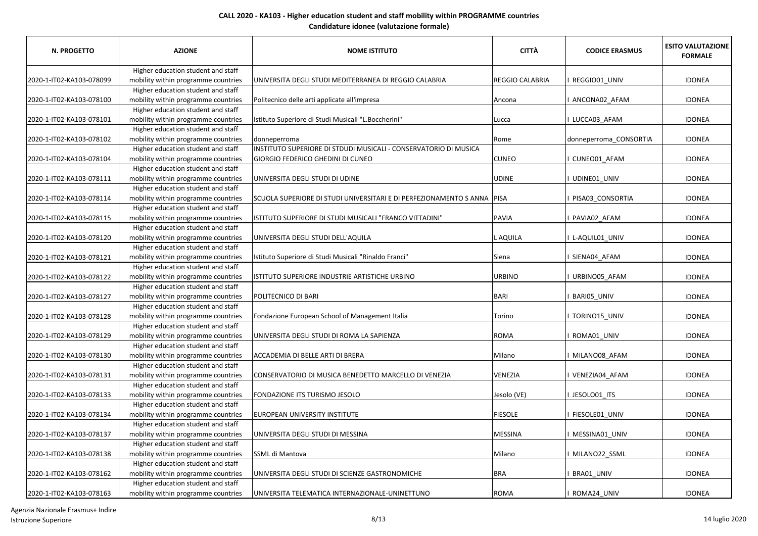| <b>N. PROGETTO</b>       | <b>AZIONE</b>                                                             | <b>NOME ISTITUTO</b>                                                    | <b>CITTÀ</b>           | <b>CODICE ERASMUS</b>  | <b>ESITO VALUTAZIONE</b><br><b>FORMALE</b> |
|--------------------------|---------------------------------------------------------------------------|-------------------------------------------------------------------------|------------------------|------------------------|--------------------------------------------|
|                          | Higher education student and staff                                        |                                                                         |                        |                        |                                            |
| 2020-1-IT02-KA103-078099 | mobility within programme countries                                       | UNIVERSITA DEGLI STUDI MEDITERRANEA DI REGGIO CALABRIA                  | <b>REGGIO CALABRIA</b> | REGGIO01_UNIV          | <b>IDONEA</b>                              |
|                          | Higher education student and staff                                        |                                                                         |                        |                        |                                            |
| 2020-1-IT02-KA103-078100 | mobility within programme countries                                       | Politecnico delle arti applicate all'impresa                            | Ancona                 | ANCONA02_AFAM          | <b>IDONEA</b>                              |
|                          | Higher education student and staff                                        |                                                                         |                        |                        |                                            |
| 2020-1-IT02-KA103-078101 | mobility within programme countries                                       | Istituto Superiore di Studi Musicali "L.Boccherini"                     | Lucca                  | LUCCA03 AFAM           | <b>IDONEA</b>                              |
|                          | Higher education student and staff                                        |                                                                         |                        |                        |                                            |
| 2020-1-IT02-KA103-078102 | mobility within programme countries                                       | donneperroma                                                            | Rome                   | donneperroma_CONSORTIA | <b>IDONEA</b>                              |
|                          | Higher education student and staff                                        | INSTITUTO SUPERIORE DI STDUDI MUSICALI - CONSERVATORIO DI MUSICA        |                        |                        |                                            |
| 2020-1-IT02-KA103-078104 | mobility within programme countries                                       | GIORGIO FEDERICO GHEDINI DI CUNEO                                       | <b>CUNEO</b>           | CUNEO01_AFAM           | <b>IDONEA</b>                              |
|                          | Higher education student and staff                                        |                                                                         |                        |                        |                                            |
| 2020-1-IT02-KA103-078111 | mobility within programme countries                                       | UNIVERSITA DEGLI STUDI DI UDINE                                         | <b>UDINE</b>           | UDINE01_UNIV           | <b>IDONEA</b>                              |
|                          | Higher education student and staff                                        |                                                                         |                        |                        |                                            |
| 2020-1-IT02-KA103-078114 | mobility within programme countries                                       | SCUOLA SUPERIORE DI STUDI UNIVERSITARI E DI PERFEZIONAMENTO S ANNA PISA |                        | PISA03_CONSORTIA       | <b>IDONEA</b>                              |
|                          | Higher education student and staff                                        |                                                                         |                        |                        |                                            |
| 2020-1-IT02-KA103-078115 | mobility within programme countries                                       | ISTITUTO SUPERIORE DI STUDI MUSICALI "FRANCO VITTADINI"                 | <b>PAVIA</b>           | PAVIA02_AFAM           | <b>IDONEA</b>                              |
|                          | Higher education student and staff                                        |                                                                         |                        |                        |                                            |
| 2020-1-IT02-KA103-078120 | mobility within programme countries                                       | UNIVERSITA DEGLI STUDI DELL'AQUILA                                      | L AQUILA               | L-AQUIL01 UNIV         | <b>IDONEA</b>                              |
|                          | Higher education student and staff                                        |                                                                         |                        |                        |                                            |
| 2020-1-IT02-KA103-078121 | mobility within programme countries                                       | Istituto Superiore di Studi Musicali "Rinaldo Franci"                   | Siena                  | SIENA04_AFAM           | <b>IDONEA</b>                              |
|                          | Higher education student and staff                                        |                                                                         |                        |                        |                                            |
| 2020-1-IT02-KA103-078122 | mobility within programme countries                                       | ISTITUTO SUPERIORE INDUSTRIE ARTISTICHE URBINO                          | <b>URBINO</b>          | URBINO05_AFAM          | <b>IDONEA</b>                              |
|                          | Higher education student and staff                                        |                                                                         |                        |                        |                                            |
| 2020-1-IT02-KA103-078127 | mobility within programme countries                                       | POLITECNICO DI BARI                                                     | <b>BARI</b>            | BARI05_UNIV            | <b>IDONEA</b>                              |
|                          | Higher education student and staff                                        |                                                                         |                        |                        |                                            |
| 2020-1-IT02-KA103-078128 | mobility within programme countries                                       | Fondazione European School of Management Italia                         | Torino                 | TORINO15_UNIV          | <b>IDONEA</b>                              |
|                          | Higher education student and staff                                        |                                                                         |                        |                        |                                            |
| 2020-1-IT02-KA103-078129 | mobility within programme countries                                       | UNIVERSITA DEGLI STUDI DI ROMA LA SAPIENZA                              | <b>ROMA</b>            | ROMA01 UNIV            | <b>IDONEA</b>                              |
|                          | Higher education student and staff                                        |                                                                         |                        |                        |                                            |
| 2020-1-IT02-KA103-078130 | mobility within programme countries                                       | ACCADEMIA DI BELLE ARTI DI BRERA                                        | Milano                 | MILANO08_AFAM          | <b>IDONEA</b>                              |
|                          | Higher education student and staff                                        |                                                                         | VENEZIA                |                        |                                            |
| 2020-1-IT02-KA103-078131 | mobility within programme countries<br>Higher education student and staff | CONSERVATORIO DI MUSICA BENEDETTO MARCELLO DI VENEZIA                   |                        | VENEZIA04_AFAM         | <b>IDONEA</b>                              |
| 2020-1-IT02-KA103-078133 | mobility within programme countries                                       | FONDAZIONE ITS TURISMO JESOLO                                           | Jesolo (VE)            |                        | <b>IDONEA</b>                              |
|                          | Higher education student and staff                                        |                                                                         |                        | I JESOLO01_ITS         |                                            |
| 2020-1-IT02-KA103-078134 | mobility within programme countries                                       | EUROPEAN UNIVERSITY INSTITUTE                                           | <b>FIESOLE</b>         | FIESOLE01_UNIV         | <b>IDONEA</b>                              |
|                          | Higher education student and staff                                        |                                                                         |                        |                        |                                            |
| 2020-1-IT02-KA103-078137 | mobility within programme countries                                       | UNIVERSITA DEGLI STUDI DI MESSINA                                       | <b>MESSINA</b>         | MESSINA01_UNIV         | <b>IDONEA</b>                              |
|                          | Higher education student and staff                                        |                                                                         |                        |                        |                                            |
| 2020-1-IT02-KA103-078138 | mobility within programme countries                                       | SSML di Mantova                                                         | Milano                 | MILANO22_SSML          | <b>IDONEA</b>                              |
|                          | Higher education student and staff                                        |                                                                         |                        |                        |                                            |
| 2020-1-IT02-KA103-078162 | mobility within programme countries                                       | UNIVERSITA DEGLI STUDI DI SCIENZE GASTRONOMICHE                         | <b>BRA</b>             | BRA01 UNIV             | <b>IDONEA</b>                              |
|                          | Higher education student and staff                                        |                                                                         |                        |                        |                                            |
| 2020-1-IT02-KA103-078163 | mobility within programme countries                                       | UNIVERSITA TELEMATICA INTERNAZIONALE-UNINETTUNO                         | <b>ROMA</b>            | ROMA24 UNIV            | <b>IDONEA</b>                              |
|                          |                                                                           |                                                                         |                        |                        |                                            |

Agenzia Nazionale Erasmus+ Indire Istruzione Superiore 8/13 14 luglio 2020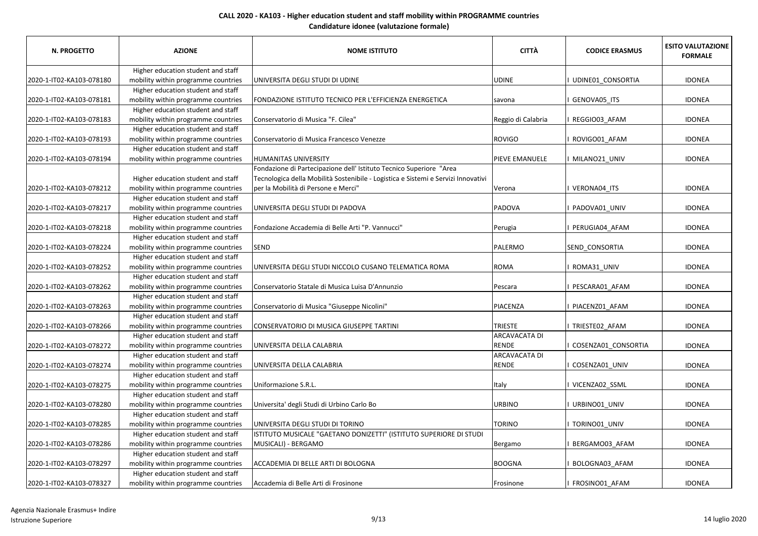| <b>N. PROGETTO</b>       | <b>AZIONE</b>                       | <b>NOME ISTITUTO</b>                                                              | <b>CITTÀ</b>       | <b>CODICE ERASMUS</b> | <b>ESITO VALUTAZIONE</b><br><b>FORMALE</b> |
|--------------------------|-------------------------------------|-----------------------------------------------------------------------------------|--------------------|-----------------------|--------------------------------------------|
|                          | Higher education student and staff  |                                                                                   |                    |                       |                                            |
| 2020-1-IT02-KA103-078180 | mobility within programme countries | UNIVERSITA DEGLI STUDI DI UDINE                                                   | UDINE              | UDINE01 CONSORTIA     | <b>IDONEA</b>                              |
|                          | Higher education student and staff  |                                                                                   |                    |                       |                                            |
| 2020-1-IT02-KA103-078181 | mobility within programme countries | FONDAZIONE ISTITUTO TECNICO PER L'EFFICIENZA ENERGETICA                           | savona             | GENOVA05_ITS          | <b>IDONEA</b>                              |
|                          | Higher education student and staff  |                                                                                   |                    |                       |                                            |
| 2020-1-IT02-KA103-078183 | mobility within programme countries | Conservatorio di Musica "F. Cilea"                                                | Reggio di Calabria | REGGIO03 AFAM         | <b>IDONEA</b>                              |
|                          | Higher education student and staff  |                                                                                   |                    |                       |                                            |
| 2020-1-IT02-KA103-078193 | mobility within programme countries | Conservatorio di Musica Francesco Venezze                                         | <b>ROVIGO</b>      | ROVIGO01_AFAM         | <b>IDONEA</b>                              |
|                          | Higher education student and staff  |                                                                                   |                    |                       |                                            |
| 2020-1-IT02-KA103-078194 | mobility within programme countries | HUMANITAS UNIVERSITY                                                              | PIEVE EMANUELE     | I MILANO21_UNIV       | <b>IDONEA</b>                              |
|                          |                                     | Fondazione di Partecipazione dell' Istituto Tecnico Superiore "Area               |                    |                       |                                            |
|                          | Higher education student and staff  | Tecnologica della Mobilità Sostenibile - Logistica e Sistemi e Servizi Innovativi |                    |                       |                                            |
| 2020-1-IT02-KA103-078212 | mobility within programme countries | per la Mobilità di Persone e Merci"                                               | Verona             | I VERONA04_ITS        | <b>IDONEA</b>                              |
|                          | Higher education student and staff  |                                                                                   |                    |                       |                                            |
| 2020-1-IT02-KA103-078217 | mobility within programme countries | UNIVERSITA DEGLI STUDI DI PADOVA                                                  | PADOVA             | PADOVA01_UNIV         | <b>IDONEA</b>                              |
|                          | Higher education student and staff  |                                                                                   |                    |                       |                                            |
| 2020-1-IT02-KA103-078218 | mobility within programme countries | Fondazione Accademia di Belle Arti "P. Vannucci"                                  | Perugia            | PERUGIA04 AFAM        | <b>IDONEA</b>                              |
|                          | Higher education student and staff  |                                                                                   |                    |                       |                                            |
| 2020-1-IT02-KA103-078224 | mobility within programme countries | SEND                                                                              | PALERMO            | SEND CONSORTIA        | <b>IDONEA</b>                              |
|                          | Higher education student and staff  |                                                                                   |                    |                       |                                            |
| 2020-1-IT02-KA103-078252 | mobility within programme countries | UNIVERSITA DEGLI STUDI NICCOLO CUSANO TELEMATICA ROMA                             | ROMA               | ROMA31_UNIV           | <b>IDONEA</b>                              |
|                          | Higher education student and staff  |                                                                                   |                    |                       |                                            |
| 2020-1-IT02-KA103-078262 | mobility within programme countries | Conservatorio Statale di Musica Luisa D'Annunzio                                  | Pescara            | PESCARA01_AFAM        | <b>IDONEA</b>                              |
|                          | Higher education student and staff  |                                                                                   |                    |                       |                                            |
| 2020-1-IT02-KA103-078263 | mobility within programme countries | Conservatorio di Musica "Giuseppe Nicolini"                                       | PIACENZA           | PIACENZ01 AFAM        | <b>IDONEA</b>                              |
|                          | Higher education student and staff  |                                                                                   |                    |                       |                                            |
| 2020-1-IT02-KA103-078266 | mobility within programme countries | CONSERVATORIO DI MUSICA GIUSEPPE TARTINI                                          | TRIESTE            | I TRIESTE02_AFAM      | <b>IDONEA</b>                              |
|                          | Higher education student and staff  |                                                                                   | ARCAVACATA DI      |                       |                                            |
| 2020-1-IT02-KA103-078272 | mobility within programme countries | UNIVERSITA DELLA CALABRIA                                                         | RENDE              | COSENZA01_CONSORTIA   | <b>IDONEA</b>                              |
|                          | Higher education student and staff  |                                                                                   | ARCAVACATA DI      |                       |                                            |
| 2020-1-IT02-KA103-078274 | mobility within programme countries | UNIVERSITA DELLA CALABRIA                                                         | RENDE              | COSENZA01 UNIV        | <b>IDONEA</b>                              |
|                          | Higher education student and staff  |                                                                                   |                    |                       |                                            |
| 2020-1-IT02-KA103-078275 | mobility within programme countries | Uniformazione S.R.L.                                                              | Italy              | I VICENZA02 SSML      | <b>IDONEA</b>                              |
|                          | Higher education student and staff  |                                                                                   |                    |                       |                                            |
| 2020-1-IT02-KA103-078280 | mobility within programme countries | Universita' degli Studi di Urbino Carlo Bo                                        | <b>URBINO</b>      | URBINO01_UNIV         | <b>IDONEA</b>                              |
|                          | Higher education student and staff  |                                                                                   |                    |                       |                                            |
| 2020-1-IT02-KA103-078285 | mobility within programme countries | UNIVERSITA DEGLI STUDI DI TORINO                                                  | <b>TORINO</b>      | I TORINO01_UNIV       | <b>IDONEA</b>                              |
|                          | Higher education student and staff  | ISTITUTO MUSICALE "GAETANO DONIZETTI" (ISTITUTO SUPERIORE DI STUDI                |                    |                       |                                            |
| 2020-1-IT02-KA103-078286 | mobility within programme countries | MUSICALI) - BERGAMO                                                               | Bergamo            | BERGAMO03_AFAM        | <b>IDONEA</b>                              |
|                          | Higher education student and staff  |                                                                                   |                    |                       |                                            |
| 2020-1-IT02-KA103-078297 | mobility within programme countries | ACCADEMIA DI BELLE ARTI DI BOLOGNA                                                | <b>BOOGNA</b>      | BOLOGNA03_AFAM        | <b>IDONEA</b>                              |
|                          | Higher education student and staff  |                                                                                   |                    |                       |                                            |
| 2020-1-IT02-KA103-078327 | mobility within programme countries | Accademia di Belle Arti di Frosinone                                              | Frosinone          | FROSINO01 AFAM        | <b>IDONEA</b>                              |
|                          |                                     |                                                                                   |                    |                       |                                            |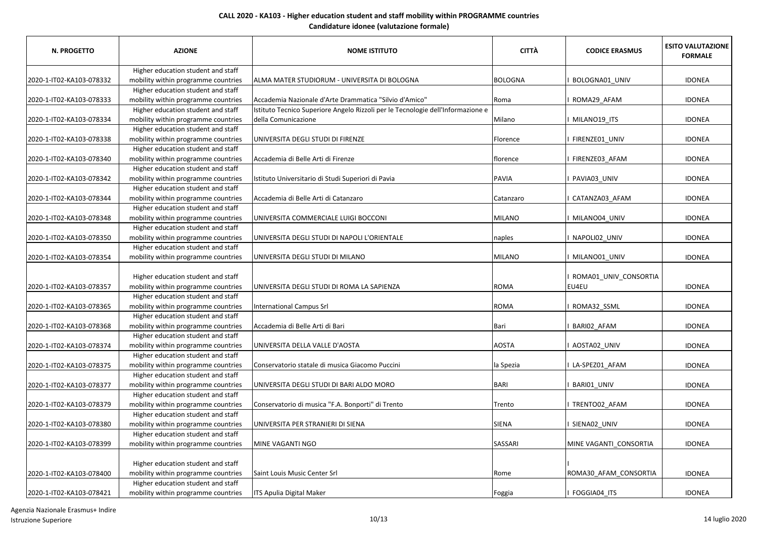| <b>N. PROGETTO</b>       | <b>AZIONE</b>                                                             | <b>NOME ISTITUTO</b>                                                            | <b>CITTÀ</b>   | <b>CODICE ERASMUS</b>          | <b>ESITO VALUTAZIONE</b><br><b>FORMALE</b> |
|--------------------------|---------------------------------------------------------------------------|---------------------------------------------------------------------------------|----------------|--------------------------------|--------------------------------------------|
|                          | Higher education student and staff                                        |                                                                                 |                |                                |                                            |
| 2020-1-IT02-KA103-078332 | mobility within programme countries                                       | ALMA MATER STUDIORUM - UNIVERSITA DI BOLOGNA                                    | <b>BOLOGNA</b> | BOLOGNA01 UNIV                 | <b>IDONEA</b>                              |
|                          | Higher education student and staff                                        |                                                                                 |                |                                |                                            |
| 2020-1-IT02-KA103-078333 | mobility within programme countries                                       | Accademia Nazionale d'Arte Drammatica "Silvio d'Amico"                          | Roma           | ROMA29 AFAM                    | <b>IDONEA</b>                              |
|                          | Higher education student and staff                                        | Istituto Tecnico Superiore Angelo Rizzoli per le Tecnologie dell'Informazione e |                |                                |                                            |
| 2020-1-IT02-KA103-078334 | mobility within programme countries                                       | della Comunicazione                                                             | Milano         | MILANO19_ITS                   | <b>IDONEA</b>                              |
|                          | Higher education student and staff                                        |                                                                                 |                |                                |                                            |
| 2020-1-IT02-KA103-078338 | mobility within programme countries                                       | UNIVERSITA DEGLI STUDI DI FIRENZE                                               | Florence       | FIRENZE01 UNIV                 | <b>IDONEA</b>                              |
|                          | Higher education student and staff                                        |                                                                                 |                |                                |                                            |
| 2020-1-IT02-KA103-078340 | mobility within programme countries                                       | Accademia di Belle Arti di Firenze                                              | florence       | FIRENZE03 AFAM                 | <b>IDONEA</b>                              |
|                          | Higher education student and staff                                        |                                                                                 |                |                                |                                            |
| 2020-1-IT02-KA103-078342 | mobility within programme countries                                       | Istituto Universitario di Studi Superiori di Pavia                              | <b>PAVIA</b>   | PAVIA03_UNIV                   | <b>IDONEA</b>                              |
|                          | Higher education student and staff                                        |                                                                                 |                |                                |                                            |
| 2020-1-IT02-KA103-078344 | mobility within programme countries                                       | Accademia di Belle Arti di Catanzaro                                            | Catanzaro      | CATANZA03 AFAM                 | <b>IDONEA</b>                              |
|                          | Higher education student and staff                                        |                                                                                 |                |                                |                                            |
| 2020-1-IT02-KA103-078348 | mobility within programme countries                                       | UNIVERSITA COMMERCIALE LUIGI BOCCONI                                            | <b>MILANO</b>  | MILANO04 UNIV                  | <b>IDONEA</b>                              |
|                          | Higher education student and staff                                        |                                                                                 |                |                                |                                            |
| 2020-1-IT02-KA103-078350 | mobility within programme countries                                       | UNIVERSITA DEGLI STUDI DI NAPOLI L'ORIENTALE                                    | naples         | NAPOLI02 UNIV                  | <b>IDONEA</b>                              |
|                          | Higher education student and staff                                        |                                                                                 |                |                                |                                            |
| 2020-1-IT02-KA103-078354 | mobility within programme countries                                       | UNIVERSITA DEGLI STUDI DI MILANO                                                | <b>MILANO</b>  | I MILANO01_UNIV                | <b>IDONEA</b>                              |
| 2020-1-IT02-KA103-078357 | Higher education student and staff<br>mobility within programme countries | UNIVERSITA DEGLI STUDI DI ROMA LA SAPIENZA                                      | <b>ROMA</b>    | ROMA01_UNIV_CONSORTIA<br>EU4EU | <b>IDONEA</b>                              |
|                          | Higher education student and staff                                        |                                                                                 |                |                                |                                            |
| 2020-1-IT02-KA103-078365 | mobility within programme countries                                       | International Campus Srl                                                        | <b>ROMA</b>    | ROMA32_SSML                    | <b>IDONEA</b>                              |
|                          | Higher education student and staff                                        |                                                                                 |                |                                |                                            |
| 2020-1-IT02-KA103-078368 | mobility within programme countries                                       | Accademia di Belle Arti di Bari                                                 | Bari           | BARIO2_AFAM                    | <b>IDONEA</b>                              |
|                          | Higher education student and staff                                        |                                                                                 |                |                                |                                            |
| 2020-1-IT02-KA103-078374 | mobility within programme countries                                       | UNIVERSITA DELLA VALLE D'AOSTA                                                  | <b>AOSTA</b>   | AOSTA02 UNIV                   | <b>IDONEA</b>                              |
|                          | Higher education student and staff                                        |                                                                                 |                |                                |                                            |
| 2020-1-IT02-KA103-078375 | mobility within programme countries                                       | Conservatorio statale di musica Giacomo Puccini                                 | la Spezia      | LA-SPEZ01_AFAM                 | <b>IDONEA</b>                              |
|                          | Higher education student and staff                                        |                                                                                 |                |                                |                                            |
| 2020-1-IT02-KA103-078377 | mobility within programme countries                                       | UNIVERSITA DEGLI STUDI DI BARI ALDO MORO                                        | <b>BARI</b>    | BARIO1 UNIV                    | <b>IDONEA</b>                              |
|                          | Higher education student and staff                                        |                                                                                 |                |                                |                                            |
| 2020-1-IT02-KA103-078379 | mobility within programme countries                                       | Conservatorio di musica "F.A. Bonporti" di Trento                               | Trento         | TRENTO02 AFAM                  | <b>IDONEA</b>                              |
|                          | Higher education student and staff                                        |                                                                                 |                |                                |                                            |
| 2020-1-IT02-KA103-078380 | mobility within programme countries                                       | UNIVERSITA PER STRANIERI DI SIENA                                               | SIENA          | SIENA02 UNIV                   | <b>IDONEA</b>                              |
|                          | Higher education student and staff                                        |                                                                                 |                |                                |                                            |
| 2020-1-IT02-KA103-078399 | mobility within programme countries                                       | MINE VAGANTI NGO                                                                | SASSARI        | MINE VAGANTI_CONSORTIA         | <b>IDONEA</b>                              |
|                          | Higher education student and staff                                        |                                                                                 |                |                                |                                            |
| 2020-1-IT02-KA103-078400 | mobility within programme countries                                       | Saint Louis Music Center Srl                                                    | Rome           | ROMA30_AFAM_CONSORTIA          | <b>IDONEA</b>                              |
|                          | Higher education student and staff                                        |                                                                                 |                |                                |                                            |
| 2020-1-IT02-KA103-078421 | mobility within programme countries                                       | ITS Apulia Digital Maker                                                        | Foggia         | I FOGGIA04 ITS                 | <b>IDONEA</b>                              |
|                          |                                                                           |                                                                                 |                |                                |                                            |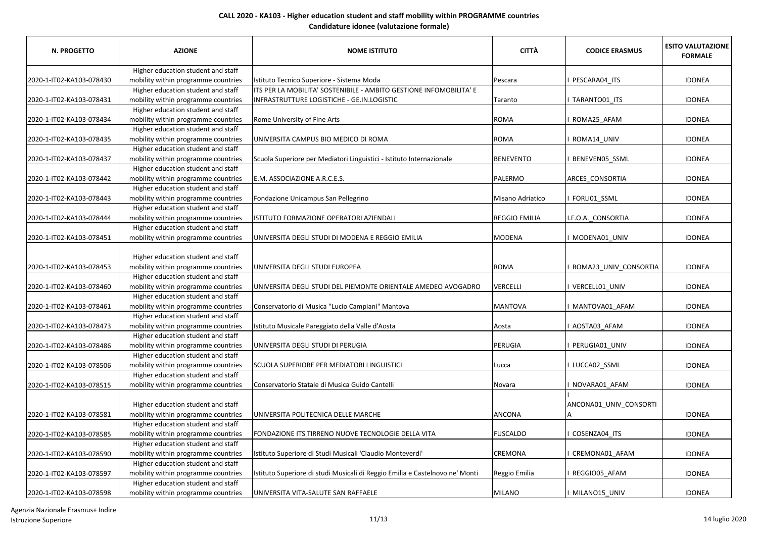| <b>N. PROGETTO</b>       | <b>AZIONE</b>                                                             | <b>NOME ISTITUTO</b>                                                         | <b>CITTÀ</b>         | <b>CODICE ERASMUS</b>  | <b>ESITO VALUTAZIONE</b><br><b>FORMALE</b> |
|--------------------------|---------------------------------------------------------------------------|------------------------------------------------------------------------------|----------------------|------------------------|--------------------------------------------|
|                          | Higher education student and staff                                        |                                                                              |                      |                        |                                            |
| 2020-1-IT02-KA103-078430 | mobility within programme countries                                       | Istituto Tecnico Superiore - Sistema Moda                                    | Pescara              | PESCARA04 ITS          | <b>IDONEA</b>                              |
|                          | Higher education student and staff                                        | ITS PER LA MOBILITA' SOSTENIBILE - AMBITO GESTIONE INFOMOBILITA' E           |                      |                        |                                            |
| 2020-1-IT02-KA103-078431 | mobility within programme countries                                       | INFRASTRUTTURE LOGISTICHE - GE.IN.LOGISTIC                                   | Taranto              | TARANTO01_ITS          | <b>IDONEA</b>                              |
|                          | Higher education student and staff                                        |                                                                              |                      |                        |                                            |
| 2020-1-IT02-KA103-078434 | mobility within programme countries                                       | Rome University of Fine Arts                                                 | ROMA                 | ROMA25_AFAM            | <b>IDONEA</b>                              |
|                          | Higher education student and staff                                        |                                                                              |                      |                        |                                            |
| 2020-1-IT02-KA103-078435 | mobility within programme countries                                       | UNIVERSITA CAMPUS BIO MEDICO DI ROMA                                         | ROMA                 | ROMA14 UNIV            | <b>IDONEA</b>                              |
|                          | Higher education student and staff                                        |                                                                              |                      |                        |                                            |
| 2020-1-IT02-KA103-078437 | mobility within programme countries                                       | Scuola Superiore per Mediatori Linguistici - Istituto Internazionale         | <b>BENEVENTO</b>     | BENEVEN05_SSML         | <b>IDONEA</b>                              |
|                          | Higher education student and staff                                        |                                                                              |                      |                        |                                            |
| 2020-1-IT02-KA103-078442 | mobility within programme countries                                       | E.M. ASSOCIAZIONE A.R.C.E.S.                                                 | PALERMO              | ARCES_CONSORTIA        | <b>IDONEA</b>                              |
|                          | Higher education student and staff                                        |                                                                              |                      |                        |                                            |
| 2020-1-IT02-KA103-078443 | mobility within programme countries                                       | Fondazione Unicampus San Pellegrino                                          | Misano Adriatico     | FORLI01_SSML           | <b>IDONEA</b>                              |
|                          | Higher education student and staff                                        |                                                                              |                      |                        |                                            |
| 2020-1-IT02-KA103-078444 | mobility within programme countries                                       | ISTITUTO FORMAZIONE OPERATORI AZIENDALI                                      | <b>REGGIO EMILIA</b> | I.F.O.A. CONSORTIA     | <b>IDONEA</b>                              |
|                          | Higher education student and staff                                        |                                                                              |                      |                        |                                            |
| 2020-1-IT02-KA103-078451 | mobility within programme countries                                       | UNIVERSITA DEGLI STUDI DI MODENA E REGGIO EMILIA                             | <b>MODENA</b>        | MODENA01 UNIV          | <b>IDONEA</b>                              |
|                          |                                                                           |                                                                              |                      |                        |                                            |
|                          | Higher education student and staff                                        |                                                                              |                      |                        |                                            |
| 2020-1-IT02-KA103-078453 | mobility within programme countries                                       | UNIVERSITA DEGLI STUDI EUROPEA                                               | <b>ROMA</b>          | ROMA23_UNIV_CONSORTIA  | <b>IDONEA</b>                              |
|                          | Higher education student and staff                                        |                                                                              |                      |                        |                                            |
| 2020-1-IT02-KA103-078460 | mobility within programme countries                                       | UNIVERSITA DEGLI STUDI DEL PIEMONTE ORIENTALE AMEDEO AVOGADRO                | VERCELLI             | VERCELL01 UNIV         | <b>IDONEA</b>                              |
|                          | Higher education student and staff                                        |                                                                              |                      |                        |                                            |
| 2020-1-IT02-KA103-078461 | mobility within programme countries                                       | Conservatorio di Musica "Lucio Campiani" Mantova                             | <b>MANTOVA</b>       | MANTOVA01_AFAM         | <b>IDONEA</b>                              |
|                          | Higher education student and staff                                        |                                                                              |                      |                        |                                            |
| 2020-1-IT02-KA103-078473 | mobility within programme countries                                       | Istituto Musicale Pareggiato della Valle d'Aosta                             | Aosta                | AOSTA03_AFAM           | <b>IDONEA</b>                              |
|                          | Higher education student and staff                                        |                                                                              |                      |                        |                                            |
| 2020-1-IT02-KA103-078486 | mobility within programme countries                                       | UNIVERSITA DEGLI STUDI DI PERUGIA                                            | PERUGIA              | PERUGIA01_UNIV         | <b>IDONEA</b>                              |
|                          | Higher education student and staff                                        |                                                                              |                      |                        |                                            |
| 2020-1-IT02-KA103-078506 | mobility within programme countries                                       | SCUOLA SUPERIORE PER MEDIATORI LINGUISTICI                                   | Lucca                | LUCCA02 SSML           | <b>IDONEA</b>                              |
|                          | Higher education student and staff                                        |                                                                              |                      |                        |                                            |
| 2020-1-IT02-KA103-078515 | mobility within programme countries                                       | Conservatorio Statale di Musica Guido Cantelli                               | Novara               | NOVARA01_AFAM          | <b>IDONEA</b>                              |
|                          |                                                                           |                                                                              |                      |                        |                                            |
|                          | Higher education student and staff                                        |                                                                              | <b>ANCONA</b>        | ANCONA01_UNIV_CONSORTI | <b>IDONEA</b>                              |
| 2020-1-IT02-KA103-078581 | mobility within programme countries                                       | UNIVERSITA POLITECNICA DELLE MARCHE                                          |                      | A                      |                                            |
|                          | Higher education student and staff<br>mobility within programme countries | FONDAZIONE ITS TIRRENO NUOVE TECNOLOGIE DELLA VITA                           | <b>FUSCALDO</b>      | COSENZA04_ITS          |                                            |
| 2020-1-IT02-KA103-078585 | Higher education student and staff                                        |                                                                              |                      |                        | <b>IDONEA</b>                              |
| 2020-1-IT02-KA103-078590 | mobility within programme countries                                       | Istituto Superiore di Studi Musicali 'Claudio Monteverdi'                    | CREMONA              | CREMONA01 AFAM         | <b>IDONEA</b>                              |
|                          | Higher education student and staff                                        |                                                                              |                      |                        |                                            |
| 2020-1-IT02-KA103-078597 | mobility within programme countries                                       |                                                                              |                      | REGGIO05 AFAM          | <b>IDONEA</b>                              |
|                          | Higher education student and staff                                        | Istituto Superiore di studi Musicali di Reggio Emilia e Castelnovo ne' Monti | Reggio Emilia        |                        |                                            |
|                          |                                                                           |                                                                              | <b>MILANO</b>        |                        |                                            |
| 2020-1-IT02-KA103-078598 | mobility within programme countries                                       | UNIVERSITA VITA-SALUTE SAN RAFFAELE                                          |                      | I MILANO15_UNIV        | <b>IDONEA</b>                              |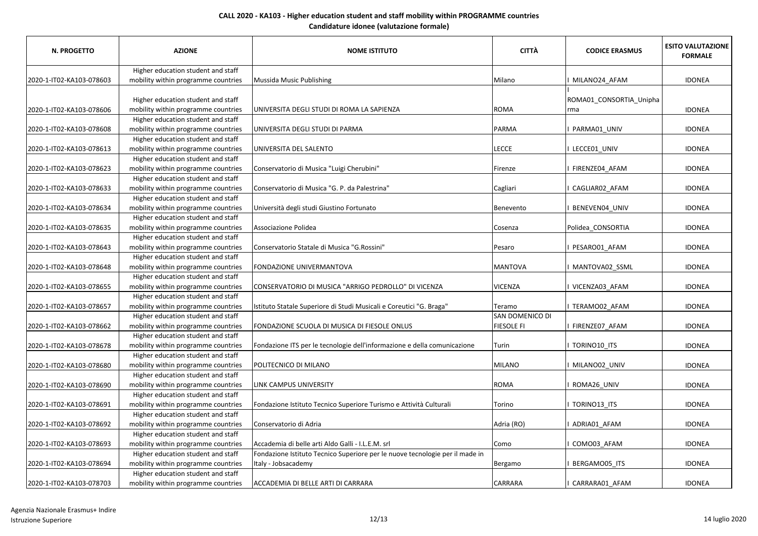| N. PROGETTO              | <b>AZIONE</b>                       | <b>NOME ISTITUTO</b>                                                         | <b>CITTÀ</b>     | <b>CODICE ERASMUS</b>   | <b>ESITO VALUTAZIONE</b><br><b>FORMALE</b> |
|--------------------------|-------------------------------------|------------------------------------------------------------------------------|------------------|-------------------------|--------------------------------------------|
|                          | Higher education student and staff  |                                                                              |                  |                         |                                            |
| 2020-1-IT02-KA103-078603 | mobility within programme countries | Mussida Music Publishing                                                     | Milano           | MILANO24 AFAM           | <b>IDONEA</b>                              |
|                          | Higher education student and staff  |                                                                              |                  | ROMA01_CONSORTIA_Unipha |                                            |
| 2020-1-IT02-KA103-078606 | mobility within programme countries | UNIVERSITA DEGLI STUDI DI ROMA LA SAPIENZA                                   | ROMA             | rma                     | <b>IDONEA</b>                              |
|                          | Higher education student and staff  |                                                                              |                  |                         |                                            |
| 2020-1-IT02-KA103-078608 | mobility within programme countries | UNIVERSITA DEGLI STUDI DI PARMA                                              | PARMA            | PARMA01_UNIV            | <b>IDONEA</b>                              |
|                          | Higher education student and staff  |                                                                              |                  |                         |                                            |
| 2020-1-IT02-KA103-078613 |                                     | UNIVERSITA DEL SALENTO                                                       | LECCE            | <b>LECCE01 UNIV</b>     | <b>IDONEA</b>                              |
|                          | mobility within programme countries |                                                                              |                  |                         |                                            |
|                          | Higher education student and staff  |                                                                              |                  |                         | <b>IDONEA</b>                              |
| 2020-1-IT02-KA103-078623 | mobility within programme countries | Conservatorio di Musica "Luigi Cherubini"                                    | Firenze          | FIRENZE04 AFAM          |                                            |
|                          | Higher education student and staff  |                                                                              |                  |                         |                                            |
| 2020-1-IT02-KA103-078633 | mobility within programme countries | Conservatorio di Musica "G. P. da Palestrina"                                | Cagliari         | CAGLIAR02_AFAM          | <b>IDONEA</b>                              |
|                          | Higher education student and staff  |                                                                              |                  |                         |                                            |
| 2020-1-IT02-KA103-078634 | mobility within programme countries | Università degli studi Giustino Fortunato                                    | <b>Benevento</b> | BENEVEN04_UNIV          | <b>IDONEA</b>                              |
|                          | Higher education student and staff  |                                                                              |                  |                         |                                            |
| 2020-1-IT02-KA103-078635 | mobility within programme countries | Associazione Polidea                                                         | Cosenza          | Polidea CONSORTIA       | <b>IDONEA</b>                              |
|                          | Higher education student and staff  |                                                                              |                  |                         |                                            |
| 2020-1-IT02-KA103-078643 | mobility within programme countries | Conservatorio Statale di Musica "G. Rossini"                                 | Pesaro           | PESARO01 AFAM           | <b>IDONEA</b>                              |
|                          | Higher education student and staff  |                                                                              |                  |                         |                                            |
| 2020-1-IT02-KA103-078648 | mobility within programme countries | FONDAZIONE UNIVERMANTOVA                                                     | <b>MANTOVA</b>   | MANTOVA02 SSML          | <b>IDONEA</b>                              |
|                          | Higher education student and staff  |                                                                              |                  |                         |                                            |
| 2020-1-IT02-KA103-078655 | mobility within programme countries | CONSERVATORIO DI MUSICA "ARRIGO PEDROLLO" DI VICENZA                         | VICENZA          | VICENZA03 AFAM          | <b>IDONEA</b>                              |
|                          | Higher education student and staff  |                                                                              |                  |                         |                                            |
| 2020-1-IT02-KA103-078657 | mobility within programme countries | Istituto Statale Superiore di Studi Musicali e Coreutici "G. Braga"          | Teramo           | TERAMO02 AFAM           | <b>IDONEA</b>                              |
|                          | Higher education student and staff  |                                                                              | SAN DOMENICO DI  |                         |                                            |
| 2020-1-IT02-KA103-078662 | mobility within programme countries | FONDAZIONE SCUOLA DI MUSICA DI FIESOLE ONLUS                                 | FIESOLE FI       | FIRENZE07_AFAM          | <b>IDONEA</b>                              |
|                          | Higher education student and staff  |                                                                              |                  |                         |                                            |
| 2020-1-IT02-KA103-078678 | mobility within programme countries | Fondazione ITS per le tecnologie dell'informazione e della comunicazione     | Turin            | TORINO10_ITS            | <b>IDONEA</b>                              |
|                          | Higher education student and staff  |                                                                              |                  |                         |                                            |
| 2020-1-IT02-KA103-078680 | mobility within programme countries | POLITECNICO DI MILANO                                                        | <b>MILANO</b>    | MILANO02_UNIV           | <b>IDONEA</b>                              |
|                          | Higher education student and staff  |                                                                              |                  |                         |                                            |
| 2020-1-IT02-KA103-078690 | mobility within programme countries | LINK CAMPUS UNIVERSITY                                                       | ROMA             | ROMA26 UNIV             | <b>IDONEA</b>                              |
|                          | Higher education student and staff  |                                                                              |                  |                         |                                            |
| 2020-1-IT02-KA103-078691 | mobility within programme countries | Fondazione Istituto Tecnico Superiore Turismo e Attività Culturali           | Torino           | TORINO13_ITS            | <b>IDONEA</b>                              |
|                          | Higher education student and staff  |                                                                              |                  |                         |                                            |
| 2020-1-IT02-KA103-078692 | mobility within programme countries | Conservatorio di Adria                                                       | Adria (RO)       | I ADRIA01 AFAM          | <b>IDONEA</b>                              |
|                          | Higher education student and staff  |                                                                              |                  |                         |                                            |
| 2020-1-IT02-KA103-078693 | mobility within programme countries | Accademia di belle arti Aldo Galli - I.L.E.M. srl                            | Como             | COMO03_AFAM             | <b>IDONEA</b>                              |
|                          | Higher education student and staff  | Fondazione Istituto Tecnico Superiore per le nuove tecnologie per il made in |                  |                         |                                            |
| 2020-1-IT02-KA103-078694 | mobility within programme countries | Italy - Jobsacademy                                                          | Bergamo          | BERGAMO05_ITS           | <b>IDONEA</b>                              |
|                          | Higher education student and staff  |                                                                              |                  |                         |                                            |
| 2020-1-IT02-KA103-078703 | mobility within programme countries | ACCADEMIA DI BELLE ARTI DI CARRARA                                           | <b>CARRARA</b>   | CARRARA01 AFAM          | <b>IDONEA</b>                              |